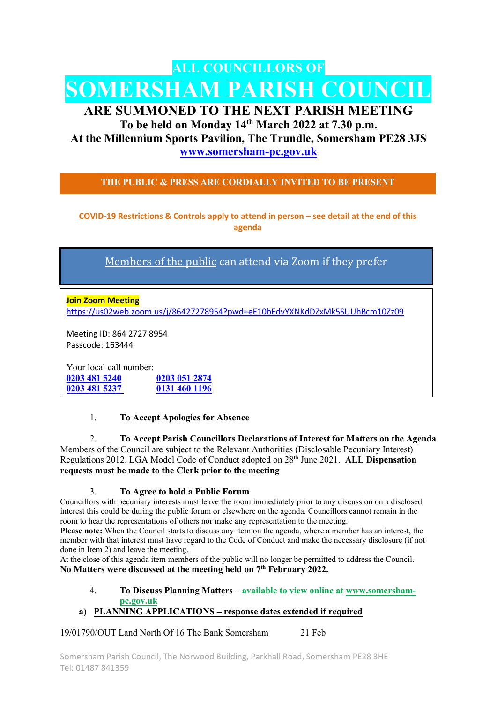# ALL COUNCILLORS OF SOMERSHAM PARISH COUNCIL

# ARE SUMMONED TO THE NEXT PARISH MEETING

To be held on Monday 14th March 2022 at 7.30 p.m. At the Millennium Sports Pavilion, The Trundle, Somersham PE28 3JS www.somersham-pc.gov.uk

THE PUBLIC & PRESS ARE CORDIALLY INVITED TO BE PRESENT

COVID-19 Restrictions & Controls apply to attend in person – see detail at the end of this agenda

Members of the public can attend via Zoom if they prefer

Join Zoom Meeting https://us02web.zoom.us/j/86427278954?pwd=eE10bEdvYXNKdDZxMk5SUUhBcm10Zz09

Meeting ID: 864 2727 8954 Passcode: 163444

Your local call number: 0203 481 5240 0203 051 2874 0203 481 5237 0131 460 1196

### 1. To Accept Apologies for Absence

2. To Accept Parish Councillors Declarations of Interest for Matters on the Agenda Members of the Council are subject to the Relevant Authorities (Disclosable Pecuniary Interest) Regulations 2012. LGA Model Code of Conduct adopted on 28<sup>th</sup> June 2021. ALL Dispensation requests must be made to the Clerk prior to the meeting

#### 3. To Agree to hold a Public Forum

Councillors with pecuniary interests must leave the room immediately prior to any discussion on a disclosed interest this could be during the public forum or elsewhere on the agenda. Councillors cannot remain in the room to hear the representations of others nor make any representation to the meeting.

Please note: When the Council starts to discuss any item on the agenda, where a member has an interest, the member with that interest must have regard to the Code of Conduct and make the necessary disclosure (if not done in Item 2) and leave the meeting.

At the close of this agenda item members of the public will no longer be permitted to address the Council. No Matters were discussed at the meeting held on  $7<sup>th</sup>$  February 2022.

4. To Discuss Planning Matters – available to view online at www.somershampc.gov.uk

## a) PLANNING APPLICATIONS – response dates extended if required

19/01790/OUT Land North Of 16 The Bank Somersham 21 Feb

Somersham Parish Council, The Norwood Building, Parkhall Road, Somersham PE28 3HE Tel: 01487 841359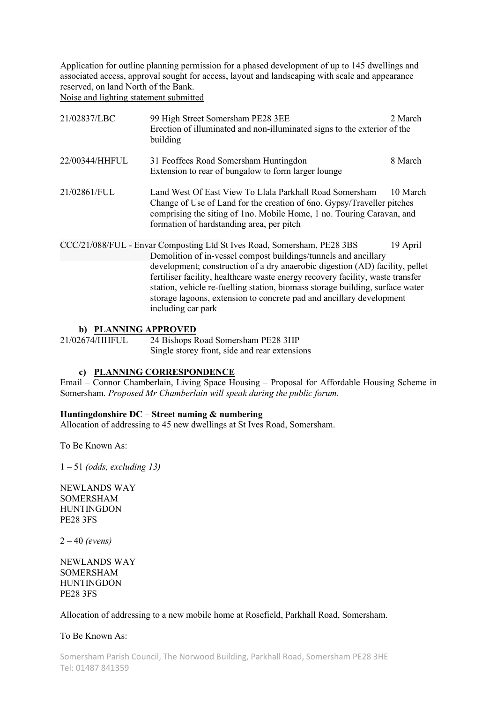Application for outline planning permission for a phased development of up to 145 dwellings and associated access, approval sought for access, layout and landscaping with scale and appearance reserved, on land North of the Bank. Noise and lighting statement submitted

| 21/02837/LBC   | 99 High Street Somersham PE28 3EE<br>Erection of illuminated and non-illuminated signs to the exterior of the<br>building                                                                                                                                                                                                                                                                                                                                                                   | 2 March  |
|----------------|---------------------------------------------------------------------------------------------------------------------------------------------------------------------------------------------------------------------------------------------------------------------------------------------------------------------------------------------------------------------------------------------------------------------------------------------------------------------------------------------|----------|
| 22/00344/HHFUL | 31 Feoffees Road Somersham Huntingdon<br>Extension to rear of bungalow to form larger lounge                                                                                                                                                                                                                                                                                                                                                                                                | 8 March  |
| 21/02861/FUL   | Land West Of East View To Llala Parkhall Road Somersham<br>Change of Use of Land for the creation of 6no. Gypsy/Traveller pitches<br>comprising the siting of 1no. Mobile Home, 1 no. Touring Caravan, and<br>formation of hardstanding area, per pitch                                                                                                                                                                                                                                     | 10 March |
|                | CCC/21/088/FUL - Envar Composting Ltd St Ives Road, Somersham, PE28 3BS<br>Demolition of in-vessel compost buildings/tunnels and ancillary<br>development; construction of a dry anaerobic digestion (AD) facility, pellet<br>fertiliser facility, healthcare waste energy recovery facility, waste transfer<br>station, vehicle re-fuelling station, biomass storage building, surface water<br>storage lagoons, extension to concrete pad and ancillary development<br>including car park | 19 April |

#### b) PLANNING APPROVED

21/02674/HHFUL 24 Bishops Road Somersham PE28 3HP Single storey front, side and rear extensions

#### c) PLANNING CORRESPONDENCE

Email – Connor Chamberlain, Living Space Housing – Proposal for Affordable Housing Scheme in Somersham. Proposed Mr Chamberlain will speak during the public forum.

#### Huntingdonshire DC – Street naming & numbering

Allocation of addressing to 45 new dwellings at St Ives Road, Somersham.

To Be Known As:

 $1 - 51$  (odds, excluding 13)

NEWLANDS WAY SOMERSHAM HUNTINGDON PE28 3FS

 $2 - 40$  (evens)

NEWLANDS WAY SOMERSHAM HUNTINGDON PE28 3FS

#### Allocation of addressing to a new mobile home at Rosefield, Parkhall Road, Somersham.

To Be Known As: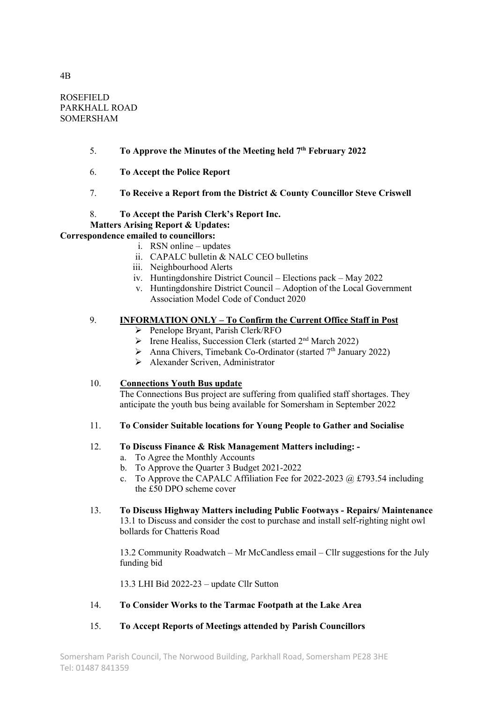ROSEFIELD PARKHALL ROAD SOMERSHAM

- 5. To Approve the Minutes of the Meeting held  $7<sup>th</sup>$  February 2022
- 6. To Accept the Police Report
- 7. To Receive a Report from the District & County Councillor Steve Criswell
- 8. To Accept the Parish Clerk's Report Inc.

#### Matters Arising Report & Updates:

#### Correspondence emailed to councillors:

- i. RSN online updates
- ii. CAPALC bulletin & NALC CEO bulletins
- iii. Neighbourhood Alerts
- iv. Huntingdonshire District Council Elections pack May 2022
- v. Huntingdonshire District Council Adoption of the Local Government Association Model Code of Conduct 2020

#### 9. INFORMATION ONLY – To Confirm the Current Office Staff in Post

- Penelope Bryant, Parish Clerk/RFO
- $\triangleright$  Irene Healiss, Succession Clerk (started 2<sup>nd</sup> March 2022)
- $\triangleright$  Anna Chivers, Timebank Co-Ordinator (started 7<sup>th</sup> January 2022)
- $\triangleright$  Alexander Scriven, Administrator

#### 10. Connections Youth Bus update

The Connections Bus project are suffering from qualified staff shortages. They anticipate the youth bus being available for Somersham in September 2022

#### 11. To Consider Suitable locations for Young People to Gather and Socialise

#### 12. To Discuss Finance & Risk Management Matters including: -

- a. To Agree the Monthly Accounts
- b. To Approve the Quarter 3 Budget 2021-2022
- c. To Approve the CAPALC Affiliation Fee for 2022-2023  $@$  £793.54 including the £50 DPO scheme cover
- 13. To Discuss Highway Matters including Public Footways Repairs/ Maintenance 13.1 to Discuss and consider the cost to purchase and install self-righting night owl bollards for Chatteris Road

13.2 Community Roadwatch – Mr McCandless email – Cllr suggestions for the July funding bid

13.3 LHI Bid 2022-23 – update Cllr Sutton

14. To Consider Works to the Tarmac Footpath at the Lake Area

#### 15. To Accept Reports of Meetings attended by Parish Councillors

4B